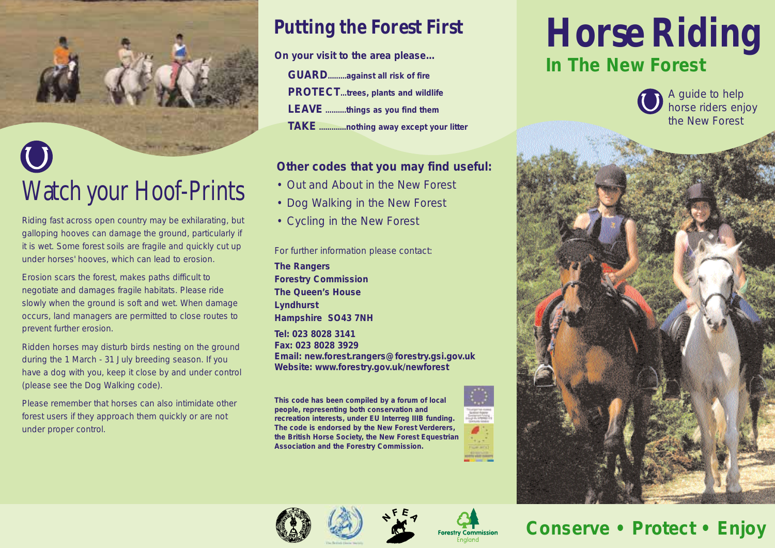# Watch your Hoof-Prints

Riding fast across open country may be exhilarating, but galloping hooves can damage the ground, particularly if it is wet. Some forest soils are fragile and quickly cut up under horses' hooves, which can lead to erosion.

Erosion scars the forest, makes paths difficult to negotiate and damages fragile habitats. Please ride slowly when the ground is soft and wet. When damage occurs, land managers are permitted to close routes to prevent further erosion.

Ridden horses may disturb birds nesting on the ground during the 1 March - 31 July breeding season. If you have a dog with you, keep it close by and under control (please see the Dog Walking code).

Please remember that horses can also intimidate other forest users if they approach them quickly or are not under proper control.

## **Putting the Forest First**

**On your visit to the area please...**

**GUARD.........against all risk of fire PROTECT...trees, plants and wildlife LEAVE ..........things as you find them TAKE .............nothing away except your litter**

### **Other codes that you may find useful:**

- Out and About in the New Forest
- Dog Walking in the New Forest
- Cycling in the New Forest

For further information please contact:

**The Rangers Forestry Commission The Queen's House Lyndhurst Hampshire SO43 7NH**

**Tel: 023 8028 3141 Fax: 023 8028 3929 Email: new.forest.rangers@forestry.gsi.gov.uk Website: www.forestry.gov.uk/newforest**

**This code has been compiled by a forum of local people, representing both conservation and recreation interests, under EU Interreg IIIB funding. The code is endorsed by the New Forest Verderers, the British Horse Society, the New Forest Equestrian Association and the Forestry Commission.**



**Forestry Commission** 



# **Horse Riding In The New Forest**





### **Conserve • Protect • Enjoy**